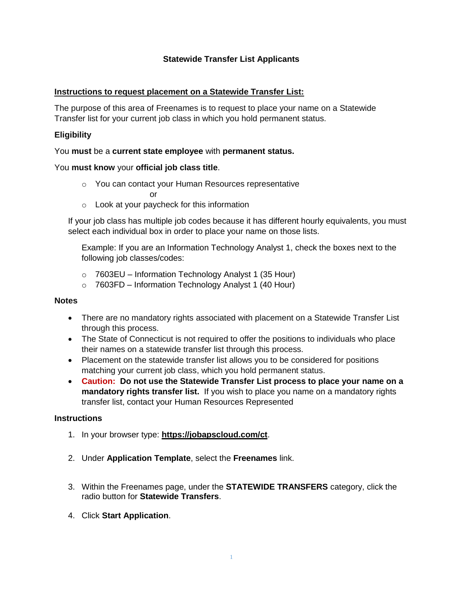# **Statewide Transfer List Applicants**

## **Instructions to request placement on a Statewide Transfer List:**

The purpose of this area of Freenames is to request to place your name on a Statewide Transfer list for your current job class in which you hold permanent status.

## **Eligibility**

### You **must** be a **current state employee** with **permanent status.**

### You **must know** your **official job class title**.

o You can contact your Human Resources representative

or

o Look at your paycheck for this information

If your job class has multiple job codes because it has different hourly equivalents, you must select each individual box in order to place your name on those lists.

Example: If you are an Information Technology Analyst 1, check the boxes next to the following job classes/codes:

- $\circ$  7603EU Information Technology Analyst 1 (35 Hour)
- $\circ$  7603FD Information Technology Analyst 1 (40 Hour)

#### **Notes**

- There are no mandatory rights associated with placement on a Statewide Transfer List through this process.
- The State of Connecticut is not required to offer the positions to individuals who place their names on a statewide transfer list through this process.
- Placement on the statewide transfer list allows you to be considered for positions matching your current job class, which you hold permanent status.
- **Caution: Do not use the Statewide Transfer List process to place your name on a mandatory rights transfer list.** If you wish to place you name on a mandatory rights transfer list, contact your Human Resources Represented

#### **Instructions**

- 1. In your browser type: **<https://jobapscloud.com/ct>**.
- 2. Under **Application Template**, select the **Freenames** link.
- 3. Within the Freenames page, under the **STATEWIDE TRANSFERS** category, click the radio button for **Statewide Transfers**.
- 4. Click **Start Application**.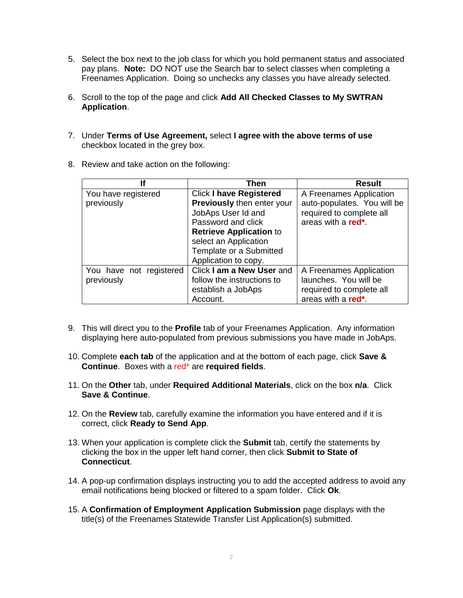- 5. Select the box next to the job class for which you hold permanent status and associated pay plans. **Note:** DO NOT use the Search bar to select classes when completing a Freenames Application. Doing so unchecks any classes you have already selected.
- 6. Scroll to the top of the page and click **Add All Checked Classes to My SWTRAN Application**.
- 7. Under **Terms of Use Agreement,** select **I agree with the above terms of use** checkbox located in the grey box.
- 8. Review and take action on the following:

| lf                      | <b>Then</b>                       | <b>Result</b>               |
|-------------------------|-----------------------------------|-----------------------------|
| You have registered     | <b>Click I have Registered</b>    | A Freenames Application     |
| previously              | <b>Previously then enter your</b> | auto-populates. You will be |
|                         | JobAps User Id and                | required to complete all    |
|                         | Password and click                | areas with a <b>red</b> *.  |
|                         | <b>Retrieve Application to</b>    |                             |
|                         | select an Application             |                             |
|                         | Template or a Submitted           |                             |
|                         | Application to copy.              |                             |
| You have not registered | Click I am a New User and         | A Freenames Application     |
| previously              | follow the instructions to        | launches. You will be       |
|                         | establish a JobAps                | required to complete all    |
|                         | Account.                          | areas with a red*.          |

- 9. This will direct you to the **Profile** tab of your Freenames Application. Any information displaying here auto-populated from previous submissions you have made in JobAps.
- 10. Complete **each tab** of the application and at the bottom of each page, click **Save & Continue**. Boxes with a red\* are **required fields**.
- 11. On the **Other** tab, under **Required Additional Materials**, click on the box **n/a**. Click **Save & Continue**.
- 12. On the **Review** tab, carefully examine the information you have entered and if it is correct, click **Ready to Send App**.
- 13. When your application is complete click the **Submit** tab, certify the statements by clicking the box in the upper left hand corner, then click **Submit to State of Connecticut**.
- 14. A pop-up confirmation displays instructing you to add the accepted address to avoid any email notifications being blocked or filtered to a spam folder. Click **Ok**.
- 15. A **Confirmation of Employment Application Submission** page displays with the title(s) of the Freenames Statewide Transfer List Application(s) submitted.